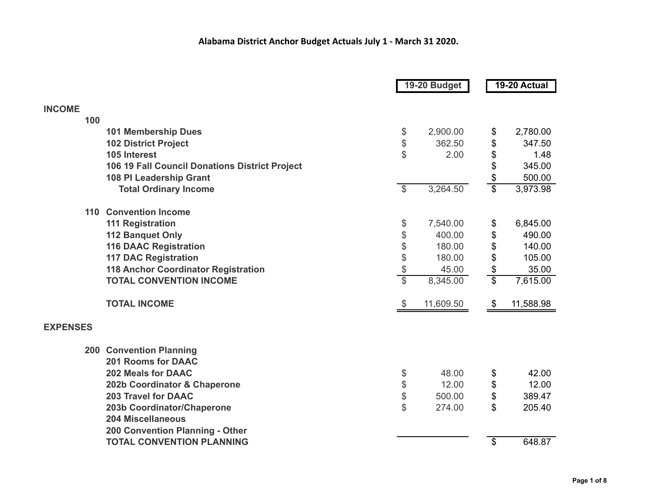|                                                | 19-20 Budget                                  |           | 19-20 Actual    |           |
|------------------------------------------------|-----------------------------------------------|-----------|-----------------|-----------|
|                                                |                                               |           |                 |           |
| <b>INCOME</b><br>100                           |                                               |           |                 |           |
| <b>101 Membership Dues</b>                     | $\, \, \raisebox{12pt}{$\scriptstyle \circ$}$ | 2,900.00  | \$              | 2,780.00  |
| <b>102 District Project</b>                    | \$                                            | 362.50    | \$              | 347.50    |
| 105 Interest                                   | \$                                            | 2.00      | \$              | 1.48      |
| 106 19 Fall Council Donations District Project |                                               |           | \$              | 345.00    |
| 108 PI Leadership Grant                        |                                               |           | \$              | 500.00    |
| <b>Total Ordinary Income</b>                   | $\overline{\mathcal{S}}$                      | 3,264.50  | $\overline{\$}$ | 3,973.98  |
| <b>Convention Income</b><br>110                |                                               |           |                 |           |
| <b>111 Registration</b>                        | \$                                            | 7,540.00  | \$              | 6,845.00  |
| <b>112 Banquet Only</b>                        | \$                                            | 400.00    | \$              | 490.00    |
| <b>116 DAAC Registration</b>                   | \$                                            | 180.00    | \$              | 140.00    |
| <b>117 DAC Registration</b>                    | $\boldsymbol{\$}$                             | 180.00    | \$              | 105.00    |
| <b>118 Anchor Coordinator Registration</b>     | $rac{f}{f}$                                   | 45.00     | \$              | 35.00     |
| <b>TOTAL CONVENTION INCOME</b>                 |                                               | 8,345.00  | $\overline{\$}$ | 7,615.00  |
| <b>TOTAL INCOME</b>                            | \$                                            | 11,609.50 | \$              | 11,588.98 |
| <b>EXPENSES</b>                                |                                               |           |                 |           |
| <b>200 Convention Planning</b>                 |                                               |           |                 |           |
| <b>201 Rooms for DAAC</b>                      |                                               |           |                 |           |
| <b>202 Meals for DAAC</b>                      | \$                                            | 48.00     | \$              | 42.00     |
| 202b Coordinator & Chaperone                   | \$                                            | 12.00     | \$              | 12.00     |
| <b>203 Travel for DAAC</b>                     | \$                                            | 500.00    | \$              | 389.47    |
| 203b Coordinator/Chaperone                     | $\mathbb S$                                   | 274.00    | $\mathfrak{L}$  | 205.40    |
| <b>204 Miscellaneous</b>                       |                                               |           |                 |           |
| 200 Convention Planning - Other                |                                               |           |                 |           |
| <b>TOTAL CONVENTION PLANNING</b>               |                                               |           | \$              | 648.87    |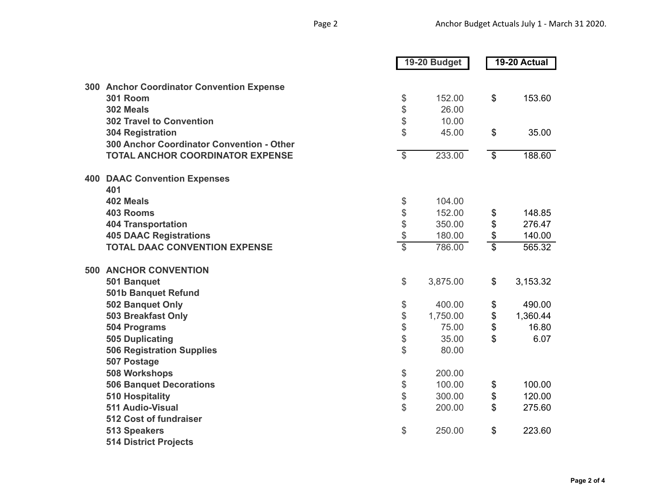|                                           |                          | 19-20 Budget |                                           | 19-20 Actual |
|-------------------------------------------|--------------------------|--------------|-------------------------------------------|--------------|
|                                           |                          |              |                                           |              |
| 300 Anchor Coordinator Convention Expense |                          |              |                                           |              |
| <b>301 Room</b>                           | \$                       | 152.00       | $\$\$                                     | 153.60       |
| 302 Meals                                 | \$                       | 26.00        |                                           |              |
| <b>302 Travel to Convention</b>           | \$                       | 10.00        |                                           |              |
| <b>304 Registration</b>                   | \$                       | 45.00        | $\$\$                                     | 35.00        |
| 300 Anchor Coordinator Convention - Other |                          |              |                                           |              |
| <b>TOTAL ANCHOR COORDINATOR EXPENSE</b>   | $\overline{\mathcal{S}}$ | 233.00       | $\overline{\$}$                           | 188.60       |
| <b>400 DAAC Convention Expenses</b>       |                          |              |                                           |              |
| 401                                       |                          |              |                                           |              |
| 402 Meals                                 | \$                       | 104.00       |                                           |              |
| <b>403 Rooms</b>                          | \$                       | 152.00       | \$                                        | 148.85       |
| <b>404 Transportation</b>                 | \$                       | 350.00       | $\, \, \raisebox{12pt}{$\scriptstyle \$}$ | 276.47       |
| <b>405 DAAC Registrations</b>             | $\frac{3}{2}$            | 180.00       | $\frac{6}{3}$                             | 140.00       |
| <b>TOTAL DAAC CONVENTION EXPENSE</b>      |                          | 786.00       |                                           | 565.32       |
| <b>500 ANCHOR CONVENTION</b>              |                          |              |                                           |              |
| 501 Banquet                               | $\mathcal{L}$            | 3,875.00     | \$                                        | 3,153.32     |
| 501b Banquet Refund                       |                          |              |                                           |              |
| 502 Banquet Only                          | \$                       | 400.00       | \$                                        | 490.00       |
| 503 Breakfast Only                        | \$                       | 1,750.00     | \$                                        | 1,360.44     |
| <b>504 Programs</b>                       | \$                       | 75.00        | \$                                        | 16.80        |
| <b>505 Duplicating</b>                    | \$                       | 35.00        | \$                                        | 6.07         |
| <b>506 Registration Supplies</b>          | \$                       | 80.00        |                                           |              |
| 507 Postage                               |                          |              |                                           |              |
| 508 Workshops                             | \$                       | 200.00       |                                           |              |
| <b>506 Banquet Decorations</b>            | \$                       | 100.00       | \$                                        | 100.00       |
| <b>510 Hospitality</b>                    | \$                       | 300.00       | $\, \, \raisebox{12pt}{$\scriptstyle \$}$ | 120.00       |
| 511 Audio-Visual                          | \$                       | 200.00       | $\mathbb{S}$                              | 275.60       |
| 512 Cost of fundraiser                    |                          |              |                                           |              |
| <b>513 Speakers</b>                       | \$                       | 250.00       | $\mathfrak{S}$                            | 223.60       |
| <b>514 District Projects</b>              |                          |              |                                           |              |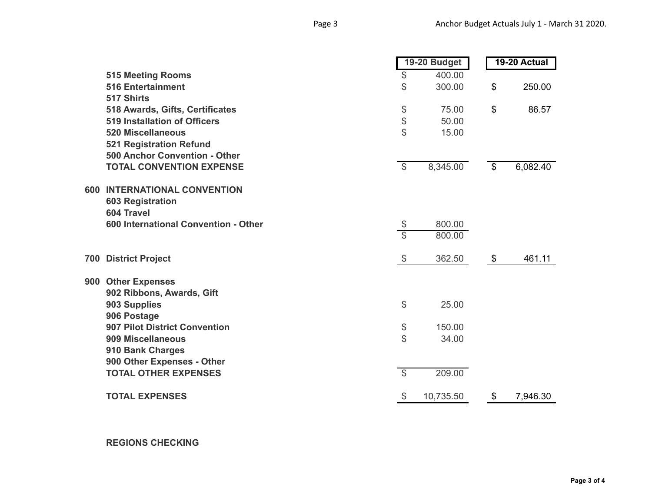|     |                                      | 19-20 Budget                              |           |                 |          |  | 19-20 Actual |
|-----|--------------------------------------|-------------------------------------------|-----------|-----------------|----------|--|--------------|
|     | <b>515 Meeting Rooms</b>             | \$                                        | 400.00    |                 |          |  |              |
|     | <b>516 Entertainment</b>             | \$                                        | 300.00    | \$              | 250.00   |  |              |
|     | 517 Shirts                           |                                           |           |                 |          |  |              |
|     | 518 Awards, Gifts, Certificates      | \$                                        | 75.00     | $\mathfrak{S}$  | 86.57    |  |              |
|     | <b>519 Installation of Officers</b>  | \$                                        | 50.00     |                 |          |  |              |
|     | <b>520 Miscellaneous</b>             | \$                                        | 15.00     |                 |          |  |              |
|     | <b>521 Registration Refund</b>       |                                           |           |                 |          |  |              |
|     | 500 Anchor Convention - Other        |                                           |           |                 |          |  |              |
|     | <b>TOTAL CONVENTION EXPENSE</b>      | $\overline{\mathcal{S}}$                  | 8,345.00  | $\overline{\$}$ | 6,082.40 |  |              |
|     | <b>600 INTERNATIONAL CONVENTION</b>  |                                           |           |                 |          |  |              |
|     | <b>603 Registration</b>              |                                           |           |                 |          |  |              |
|     | 604 Travel                           |                                           |           |                 |          |  |              |
|     | 600 International Convention - Other | $\frac{\$}{\$}$                           | 800.00    |                 |          |  |              |
|     |                                      |                                           | 800.00    |                 |          |  |              |
| 700 | <b>District Project</b>              | $\, \, \raisebox{12pt}{$\scriptstyle \$}$ | 362.50    | \$              | 461.11   |  |              |
|     | 900 Other Expenses                   |                                           |           |                 |          |  |              |
|     | 902 Ribbons, Awards, Gift            |                                           |           |                 |          |  |              |
|     | 903 Supplies                         | \$                                        | 25.00     |                 |          |  |              |
|     | 906 Postage                          |                                           |           |                 |          |  |              |
|     | <b>907 Pilot District Convention</b> | \$                                        | 150.00    |                 |          |  |              |
|     | 909 Miscellaneous                    | \$                                        | 34.00     |                 |          |  |              |
|     | 910 Bank Charges                     |                                           |           |                 |          |  |              |
|     | 900 Other Expenses - Other           |                                           |           |                 |          |  |              |
|     | <b>TOTAL OTHER EXPENSES</b>          | $\overline{\mathcal{S}}$                  | 209.00    |                 |          |  |              |
|     | <b>TOTAL EXPENSES</b>                | \$                                        | 10,735.50 | \$              | 7,946.30 |  |              |

**REGIONS CHECKING**